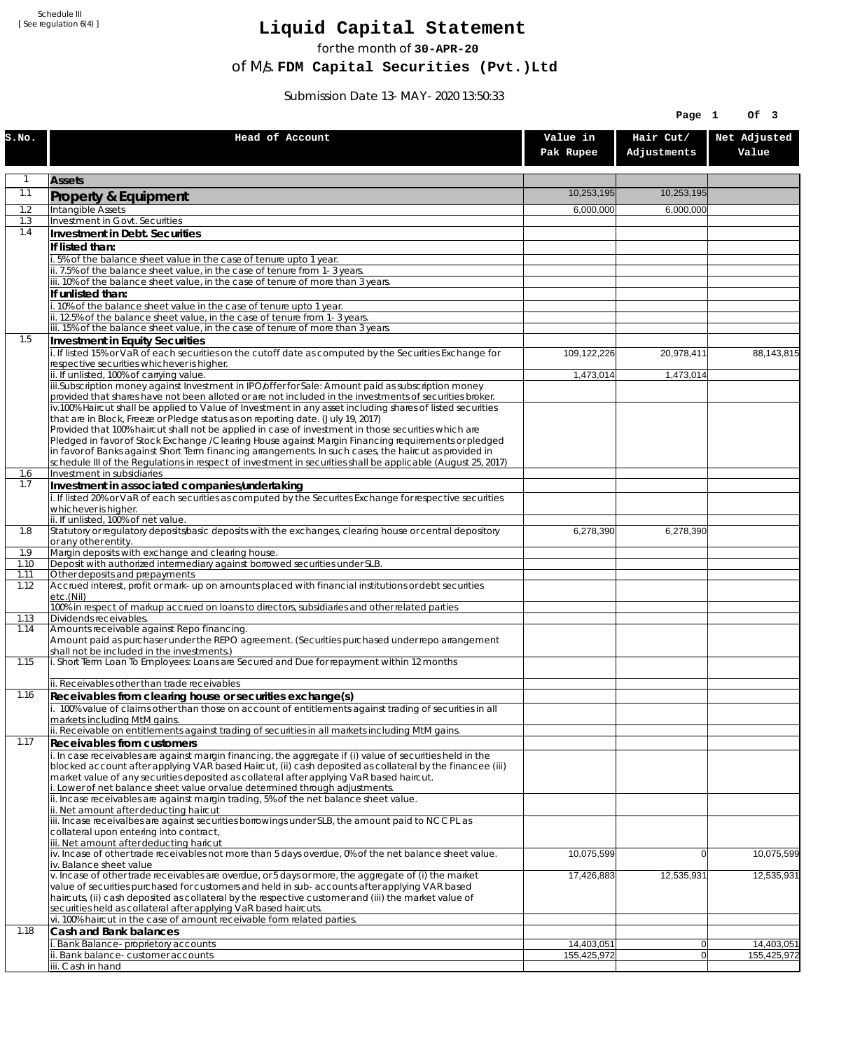Schedule III [ See regulation 6(4) ]

## **Liquid Capital Statement**

for the month of **30-APR-20**

of M/s. **FDM Capital Securities (Pvt.)Ltd**

Submission Date 13-MAY-2020 13:50:33

|              |                                                                                                                                                                                                                        |                           | Page 1                   | Of 3                      |
|--------------|------------------------------------------------------------------------------------------------------------------------------------------------------------------------------------------------------------------------|---------------------------|--------------------------|---------------------------|
| S.NO.        | Head of Account                                                                                                                                                                                                        | Value in<br>Pak Rupee     | Hair Cut/<br>Adjustments | Net Adjusted<br>Value     |
| 1            | <b>Assets</b>                                                                                                                                                                                                          |                           |                          |                           |
| 1.1          | Property & Equipment                                                                                                                                                                                                   | 10,253,195                | 10,253,195               |                           |
| 1.2          | Intangible Assets                                                                                                                                                                                                      | 6,000,000                 | 6,000,000                |                           |
| 1.3<br>1.4   | Investment in Govt. Securities<br>Investment in Debt. Securities                                                                                                                                                       |                           |                          |                           |
|              | If listed than:                                                                                                                                                                                                        |                           |                          |                           |
|              | 5% of the balance sheet value in the case of tenure upto 1 year.                                                                                                                                                       |                           |                          |                           |
|              | ii. 7.5% of the balance sheet value, in the case of tenure from 1-3 years.                                                                                                                                             |                           |                          |                           |
|              | iii. 10% of the balance sheet value, in the case of tenure of more than 3 years.<br>If unlisted than:                                                                                                                  |                           |                          |                           |
|              | 10% of the balance sheet value in the case of tenure upto 1 year.                                                                                                                                                      |                           |                          |                           |
|              | ii. 12.5% of the balance sheet value, in the case of tenure from 1-3 years.<br>iii. 15% of the balance sheet value, in the case of tenure of more than 3 years.                                                        |                           |                          |                           |
| 1.5          | Investment in Equity Securities                                                                                                                                                                                        |                           |                          |                           |
|              | i. If listed 15% or VaR of each securities on the cutoff date as computed by the Securities Exchange for                                                                                                               | 109,122,226               | 20,978,411               | 88,143,815                |
|              | respective securities whichever is higher.<br>ii. If unlisted, 100% of carrying value.                                                                                                                                 | 1,473,014                 | 1,473,014                |                           |
|              | iii.Subscription money against Investment in IPO/offer for Sale: Amount paid as subscription money                                                                                                                     |                           |                          |                           |
|              | provided that shares have not been alloted or are not included in the investments of securities broker.                                                                                                                |                           |                          |                           |
|              | iv.100% Haircut shall be applied to Value of Investment in any asset including shares of listed securities<br>that are in Block, Freeze or Pledge status as on reporting date. (July 19, 2017)                         |                           |                          |                           |
|              | Provided that 100% haircut shall not be applied in case of investment in those securities which are                                                                                                                    |                           |                          |                           |
|              | Pledged in favor of Stock Exchange / Clearing House against Margin Financing requirements or pledged<br>in favor of Banks against Short Term financing arrangements. In such cases, the haircut as provided in         |                           |                          |                           |
|              | schedule III of the Regulations in respect of investment in securities shall be applicable (August 25, 2017)                                                                                                           |                           |                          |                           |
| 1.6          | Investment in subsidiaries                                                                                                                                                                                             |                           |                          |                           |
| 1.7          | Investment in associated companies/undertaking<br>i. If listed 20% or VaR of each securities as computed by the Securites Exchange for respective securities                                                           |                           |                          |                           |
|              | whichever is higher.                                                                                                                                                                                                   |                           |                          |                           |
| 1.8          | ii. If unlisted, 100% of net value.<br>Statutory or regulatory deposits/basic deposits with the exchanges, clearing house or central depository                                                                        | 6,278,390                 |                          |                           |
|              | or any other entity.                                                                                                                                                                                                   |                           | 6,278,390                |                           |
| 1.9          | Margin deposits with exchange and clearing house.                                                                                                                                                                      |                           |                          |                           |
| 1.10<br>1.11 | Deposit with authorized intermediary against borrowed securities under SLB.<br>Other deposits and prepayments                                                                                                          |                           |                          |                           |
| 1.12         | Accrued interest, profit or mark-up on amounts placed with financial institutions or debt securities                                                                                                                   |                           |                          |                           |
|              | etc.(Nil)<br>100% in respect of markup accrued on loans to directors, subsidiaries and other related parties                                                                                                           |                           |                          |                           |
| 1.13         | Dividends receivables.                                                                                                                                                                                                 |                           |                          |                           |
| 1.14         | Amounts receivable against Repo financing.<br>Amount paid as purchaser under the REPO agreement. (Securities purchased under repo arrangement                                                                          |                           |                          |                           |
|              | shall not be included in the investments.)                                                                                                                                                                             |                           |                          |                           |
| 1.15         | i. Short Term Loan To Employees: Loans are Secured and Due for repayment within 12 months                                                                                                                              |                           |                          |                           |
|              | ii. Receivables other than trade receivables                                                                                                                                                                           |                           |                          |                           |
| 1.16         | Receivables from clearing house or securities exchange(s)                                                                                                                                                              |                           |                          |                           |
|              | i. 100% value of claims other than those on account of entitlements against trading of securities in all                                                                                                               |                           |                          |                           |
|              | markets including MtM gains.<br>ii. Receivable on entitlements against trading of securities in all markets including MtM gains.                                                                                       |                           |                          |                           |
| 1.17         | Receivables from customers                                                                                                                                                                                             |                           |                          |                           |
|              | i. In case receivables are against margin financing, the aggregate if (i) value of securities held in the<br>blocked account after applying VAR based Haircut, (ii) cash deposited as collateral by the financee (iii) |                           |                          |                           |
|              | market value of any securities deposited as collateral after applying VaR based haircut.                                                                                                                               |                           |                          |                           |
|              | i. Lower of net balance sheet value or value determined through adjustments.                                                                                                                                           |                           |                          |                           |
|              | ii. Incase receivables are against margin trading, 5% of the net balance sheet value.<br>ii. Net amount after deducting haircut                                                                                        |                           |                          |                           |
|              | iii. Incase receivalbes are against securities borrowings under SLB, the amount paid to NCCPL as                                                                                                                       |                           |                          |                           |
|              | collateral upon entering into contract,<br>iii. Net amount after deducting haricut                                                                                                                                     |                           |                          |                           |
|              | iv. Incase of other trade receivables not more than 5 days overdue, 0% of the net balance sheet value.                                                                                                                 | 10,075,599                | $\overline{0}$           | 10,075,599                |
|              | iv. Balance sheet value<br>v. Incase of other trade receivables are overdue, or 5 days or more, the aggregate of (i) the market                                                                                        | 17,426,883                | 12,535,931               | 12,535,931                |
|              | value of securities purchased for customers and held in sub-accounts after applying VAR based                                                                                                                          |                           |                          |                           |
|              | haircuts, (ii) cash deposited as collateral by the respective customer and (iii) the market value of                                                                                                                   |                           |                          |                           |
|              | securities held as collateral after applying VaR based haircuts.<br>vi. 100% haircut in the case of amount receivable form related parties.                                                                            |                           |                          |                           |
| 1.18         | Cash and Bank balances                                                                                                                                                                                                 |                           |                          |                           |
|              | i. Bank Balance-proprietory accounts<br>Bank balance-customer accounts                                                                                                                                                 | 14,403,051<br>155,425,972 | $\overline{0}$<br> 0     | 14,403,051<br>155,425,972 |
|              | iii. Cash in hand                                                                                                                                                                                                      |                           |                          |                           |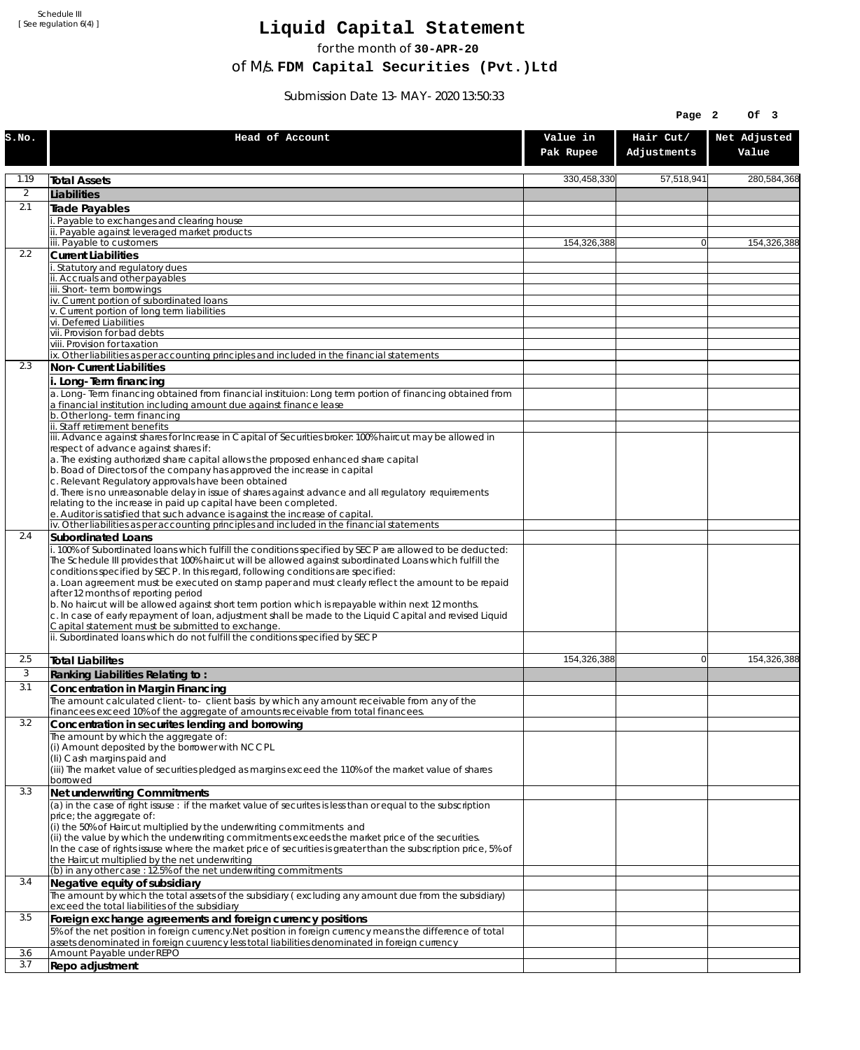Schedule III [ See regulation 6(4) ]

## **Liquid Capital Statement**

for the month of **30-APR-20**

of M/s. **FDM Capital Securities (Pvt.)Ltd**

Submission Date 13-MAY-2020 13:50:33

|                |                                                                                                                                                                                                                                                                                                     |                       | Page 2                   | Of 3                  |
|----------------|-----------------------------------------------------------------------------------------------------------------------------------------------------------------------------------------------------------------------------------------------------------------------------------------------------|-----------------------|--------------------------|-----------------------|
| S.NO.          | Head of Account                                                                                                                                                                                                                                                                                     | Value in<br>Pak Rupee | Hair Cut/<br>Adjustments | Net Adjusted<br>Value |
| 1.19           | <b>Total Assets</b>                                                                                                                                                                                                                                                                                 | 330,458,330           | 57,518,941               | 280,584,368           |
| $\overline{2}$ | Liabilities                                                                                                                                                                                                                                                                                         |                       |                          |                       |
| 2.1            | Trade Payables                                                                                                                                                                                                                                                                                      |                       |                          |                       |
|                | Payable to exchanges and clearing house<br>Payable against leveraged market products                                                                                                                                                                                                                |                       |                          |                       |
|                | iii. Payable to customers                                                                                                                                                                                                                                                                           | 154,326,388           | $\overline{0}$           | 154,326,388           |
| 2.2            | <b>Current Liabilities</b>                                                                                                                                                                                                                                                                          |                       |                          |                       |
|                | Statutory and regulatory dues<br>ii. Accruals and other payables                                                                                                                                                                                                                                    |                       |                          |                       |
|                | iii. Short-term borrowinas                                                                                                                                                                                                                                                                          |                       |                          |                       |
|                | iv. Current portion of subordinated loans                                                                                                                                                                                                                                                           |                       |                          |                       |
|                | v. Current portion of long term liabilities<br>vi. Deferred Liabilities                                                                                                                                                                                                                             |                       |                          |                       |
|                | vii. Provision for bad debts                                                                                                                                                                                                                                                                        |                       |                          |                       |
|                | viii. Provision for taxation                                                                                                                                                                                                                                                                        |                       |                          |                       |
| 2.3            | ix. Other liabilities as per accounting principles and included in the financial statements<br>Non-Current Liabilities                                                                                                                                                                              |                       |                          |                       |
|                | i. Long-Term financing                                                                                                                                                                                                                                                                              |                       |                          |                       |
|                | a. Long-Term financing obtained from financial instituion: Long term portion of financing obtained from<br>a financial institution including amount due against finance lease                                                                                                                       |                       |                          |                       |
|                | b. Other long-term financing<br>ii. Staff retirement benefits                                                                                                                                                                                                                                       |                       |                          |                       |
|                | iii. Advance against shares for Increase in Capital of Securities broker: 100% haircut may be allowed in<br>respect of advance against shares if:                                                                                                                                                   |                       |                          |                       |
|                | a. The existing authorized share capital allows the proposed enhanced share capital<br>b. Boad of Directors of the company has approved the increase in capital                                                                                                                                     |                       |                          |                       |
|                | c. Relevant Regulatory approvals have been obtained<br>d. There is no unreasonable delay in issue of shares against advance and all regulatory requirements                                                                                                                                         |                       |                          |                       |
|                | relating to the increase in paid up capital have been completed.<br>e. Auditor is satisfied that such advance is against the increase of capital.                                                                                                                                                   |                       |                          |                       |
| 2.4            | iv. Other liabilities as per accounting principles and included in the financial statements                                                                                                                                                                                                         |                       |                          |                       |
|                | Subordinated Loans<br>. 100% of Subordinated loans which fulfill the conditions specified by SECP are allowed to be deducted:                                                                                                                                                                       |                       |                          |                       |
|                | The Schedule III provides that 100% haircut will be allowed against subordinated Loans which fulfill the<br>conditions specified by SECP. In this regard, following conditions are specified:<br>a. Loan agreement must be executed on stamp paper and must clearly reflect the amount to be repaid |                       |                          |                       |
|                | after 12 months of reporting period<br>b. No haircut will be allowed against short term portion which is repayable within next 12 months.                                                                                                                                                           |                       |                          |                       |
|                | c. In case of early repayment of loan, adjustment shall be made to the Liquid Capital and revised Liquid<br>Capital statement must be submitted to exchange.                                                                                                                                        |                       |                          |                       |
|                | ii. Subordinated loans which do not fulfill the conditions specified by SECP                                                                                                                                                                                                                        |                       |                          |                       |
| 2.5            | <b>Total Liabilites</b>                                                                                                                                                                                                                                                                             | 154,326,388           | $\Omega$                 | 154,326,388           |
| 3              | Ranking Liabilities Relating to:                                                                                                                                                                                                                                                                    |                       |                          |                       |
| 3.1            | Concentration in Margin Financing                                                                                                                                                                                                                                                                   |                       |                          |                       |
|                | The amount calculated client-to- client basis by which any amount receivable from any of the<br>financees exceed 10% of the aggregate of amounts receivable from total financees.                                                                                                                   |                       |                          |                       |
| 3.2            | Concentration in securites lending and borrowing                                                                                                                                                                                                                                                    |                       |                          |                       |
|                | The amount by which the aggregate of:                                                                                                                                                                                                                                                               |                       |                          |                       |
|                | (i) Amount deposited by the borrower with NCCPL<br>(Ii) Cash margins paid and                                                                                                                                                                                                                       |                       |                          |                       |
|                | (iii) The market value of securities pledged as margins exceed the 110% of the market value of shares                                                                                                                                                                                               |                       |                          |                       |
| 3.3            | borrowed<br>Net underwriting Commitments                                                                                                                                                                                                                                                            |                       |                          |                       |
|                | (a) in the case of right issuse : if the market value of securites is less than or equal to the subscription                                                                                                                                                                                        |                       |                          |                       |
|                | price; the aggregate of:                                                                                                                                                                                                                                                                            |                       |                          |                       |
|                | (i) the 50% of Haircut multiplied by the underwriting commitments and<br>(ii) the value by which the underwriting commitments exceeds the market price of the securities.                                                                                                                           |                       |                          |                       |
|                | In the case of rights issuse where the market price of securities is greater than the subscription price, 5% of                                                                                                                                                                                     |                       |                          |                       |
|                | the Haircut multiplied by the net underwriting                                                                                                                                                                                                                                                      |                       |                          |                       |
| 3.4            | (b) in any other case: 12.5% of the net underwriting commitments<br>Negative equity of subsidiary                                                                                                                                                                                                   |                       |                          |                       |
|                | The amount by which the total assets of the subsidiary (excluding any amount due from the subsidiary)<br>exceed the total liabilities of the subsidiary                                                                                                                                             |                       |                          |                       |
| 3.5            | Foreign exchange agreements and foreign currency positions                                                                                                                                                                                                                                          |                       |                          |                       |
|                | 5% of the net position in foreign currency. Net position in foreign currency means the difference of total<br>assets denominated in foreign cuurency less total liabilities denominated in foreign currency                                                                                         |                       |                          |                       |
| 3.6<br>3.7     | Amount Payable under REPO                                                                                                                                                                                                                                                                           |                       |                          |                       |
|                | Repo adjustment                                                                                                                                                                                                                                                                                     |                       |                          |                       |